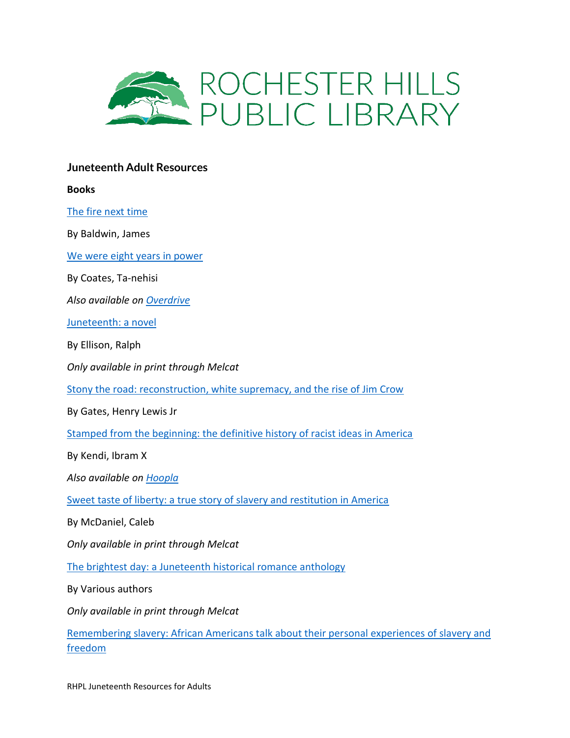

# **Juneteenth Adult Resources**

**Books**

[The fire next time](https://catalog.rhpl.org/polaris/search/title.aspx?ctx=1.1033.0.0.8&pos=2&cn=100924)

By Baldwin, James

[We were eight years in power](https://catalog.rhpl.org/polaris/search/title.aspx?ctx=1.1033.0.0.8&pos=1&cn=570778)

By Coates, Ta-nehisi

*Also available on [Overdrive](https://metronet.overdrive.com/metronet-rochesterhills/content/search?query=We+Were+Eight+Years+in+Power)*

[Juneteenth: a novel](http://elibrary.mel.org/search~S15?/Xjuneteenth&searchscope=15&SORT=DZ/Xjuneteenth&searchscope=15&SORT=DZ&extended=0&SUBKEY=juneteenth/51%2C184%2C184%2CB/frameset&FF=Xjuneteenth&searchscope=15&SORT=DZ&59%2C59%2C)

By Ellison, Ralph

*Only available in print through Melcat*

[Stony the road: reconstruction, white supremacy, and the rise of Jim Crow](https://catalog.rhpl.org/polaris/search/title.aspx?ctx=1.1033.0.0.8&pos=1&cn=665485)

By Gates, Henry Lewis Jr

[Stamped from the beginning: the definitive history of racist ideas in America](https://catalog.rhpl.org/polaris/search/title.aspx?ctx=1.1033.0.0.8&pos=4&cn=757563)

By Kendi, Ibram X

*Also available on [Hoopla](https://www.hoopladigital.com/title/11812946)*

[Sweet taste of liberty: a true story of slavery and restitution in America](http://elibrary.mel.org/search~S15?/Xsweet+taste+of+liberty&SORT=D/Xsweet+taste+of+liberty&SORT=D&SUBKEY=sweet+taste+of+liberty/1%2C15%2C15%2CB/frameset&FF=Xsweet+taste+of+liberty&SORT=D&1%2C1%2C)

By McDaniel, Caleb

*Only available in print through Melcat*

[The brightest day: a Juneteenth historical romance anthology](http://elibrary.mel.org/search~S15?/Xbrightest+day&searchscope=15&SORT=DZ/Xbrightest+day&searchscope=15&SORT=DZ&extended=0&SUBKEY=brightest+day/1%2C314%2C314%2CB/frameset&FF=Xbrightest+day&searchscope=15&SORT=DZ&1%2C1%2C)

By Various authors

*Only available in print through Melcat*

[Remembering slavery: African Americans talk about their personal experiences of slavery and](https://catalog.rhpl.org/polaris/search/title.aspx?ctx=1.1033.0.0.8&pos=1&cn=19025)  [freedom](https://catalog.rhpl.org/polaris/search/title.aspx?ctx=1.1033.0.0.8&pos=1&cn=19025)

RHPL Juneteenth Resources for Adults